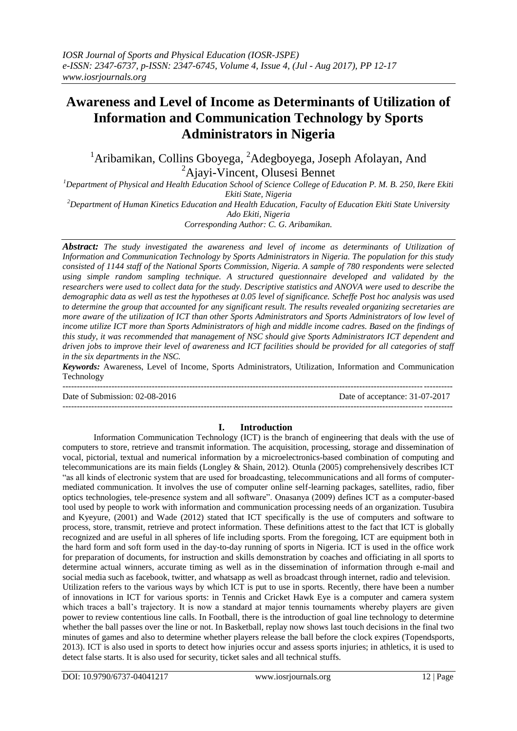# **Awareness and Level of Income as Determinants of Utilization of Information and Communication Technology by Sports Administrators in Nigeria**

<sup>1</sup>Aribamikan, Collins Gboyega, <sup>2</sup>Adegboyega, Joseph Afolayan, And <sup>2</sup>Ajayi-Vincent, Olusesi Bennet

*<sup>1</sup>Department of Physical and Health Education School of Science College of Education P. M. B. 250, Ikere Ekiti Ekiti State, Nigeria*

*<sup>2</sup>Department of Human Kinetics Education and Health Education, Faculty of Education Ekiti State University Ado Ekiti, Nigeria*

*Corresponding Author: C. G. Aribamikan.* 

*Abstract: The study investigated the awareness and level of income as determinants of Utilization of Information and Communication Technology by Sports Administrators in Nigeria. The population for this study consisted of 1144 staff of the National Sports Commission, Nigeria. A sample of 780 respondents were selected using simple random sampling technique. A structured questionnaire developed and validated by the researchers were used to collect data for the study. Descriptive statistics and ANOVA were used to describe the demographic data as well as test the hypotheses at 0.05 level of significance. Scheffe Post hoc analysis was used to determine the group that accounted for any significant result. The results revealed organizing secretaries are more aware of the utilization of ICT than other Sports Administrators and Sports Administrators of low level of income utilize ICT more than Sports Administrators of high and middle income cadres. Based on the findings of this study, it was recommended that management of NSC should give Sports Administrators ICT dependent and driven jobs to improve their level of awareness and ICT facilities should be provided for all categories of staff in the six departments in the NSC.*

*Keywords:* Awareness, Level of Income, Sports Administrators, Utilization, Information and Communication Technology

--------------------------------------------------------------------------------------------------------------------------------------- Date of Submission: 02-08-2016 Date of acceptance: 31-07-2017

## **I. Introduction**

Information Communication Technology (ICT) is the branch of engineering that deals with the use of computers to store, retrieve and transmit information. The acquisition, processing, storage and dissemination of vocal, pictorial, textual and numerical information by a microelectronics-based combination of computing and telecommunications are its main fields (Longley & Shain, 2012). Otunla (2005) comprehensively describes ICT "as all kinds of electronic system that are used for broadcasting, telecommunications and all forms of computermediated communication. It involves the use of computer online self-learning packages, satellites, radio, fiber optics technologies, tele-presence system and all software". Onasanya (2009) defines ICT as a computer-based tool used by people to work with information and communication processing needs of an organization. Tusubira and Kyeyure, (2001) and Wade (2012) stated that ICT specifically is the use of computers and software to process, store, transmit, retrieve and protect information. These definitions attest to the fact that ICT is globally recognized and are useful in all spheres of life including sports. From the foregoing, ICT are equipment both in the hard form and soft form used in the day-to-day running of sports in Nigeria. ICT is used in the office work for preparation of documents, for instruction and skills demonstration by coaches and officiating in all sports to determine actual winners, accurate timing as well as in the dissemination of information through e-mail and social media such as facebook, twitter, and whatsapp as well as broadcast through internet, radio and television. Utilization refers to the various ways by which ICT is put to use in sports. Recently, there have been a number of innovations in ICT for various sports: in Tennis and Cricket Hawk Eye is a computer and camera system which traces a ball's trajectory. It is now a standard at major tennis tournaments whereby players are given power to review contentious line calls. In Football, there is the introduction of goal line technology to determine whether the ball passes over the line or not. In Basketball, replay now shows last touch decisions in the final two minutes of games and also to determine whether players release the ball before the clock expires (Topendsports, 2013). ICT is also used in sports to detect how injuries occur and assess sports injuries; in athletics, it is used to detect false starts. It is also used for security, ticket sales and all technical stuffs.

---------------------------------------------------------------------------------------------------------------------------------------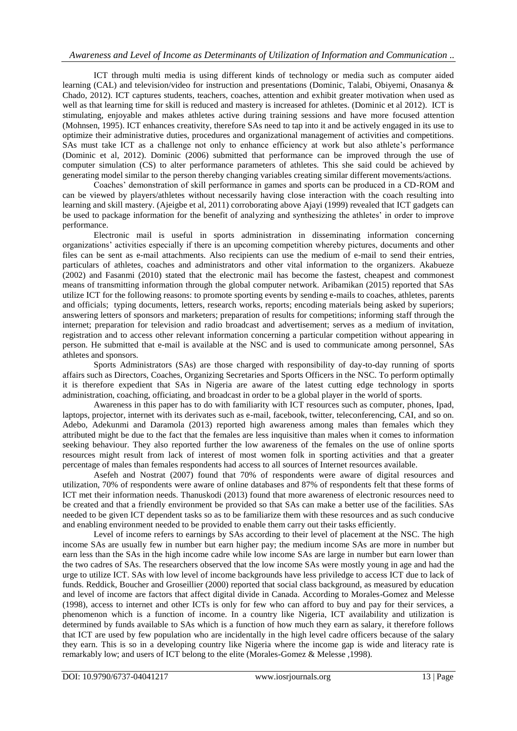ICT through multi media is using different kinds of technology or media such as computer aided learning (CAL) and television/video for instruction and presentations (Dominic, Talabi, Obiyemi, Onasanya & Chado, 2012). ICT captures students, teachers, coaches, attention and exhibit greater motivation when used as well as that learning time for skill is reduced and mastery is increased for athletes. (Dominic et al 2012). ICT is stimulating, enjoyable and makes athletes active during training sessions and have more focused attention (Mohnsen, 1995). ICT enhances creativity, therefore SAs need to tap into it and be actively engaged in its use to optimize their administrative duties, procedures and organizational management of activities and competitions. SAs must take ICT as a challenge not only to enhance efficiency at work but also athlete's performance (Dominic et al, 2012). Dominic (2006) submitted that performance can be improved through the use of computer simulation (CS) to alter performance parameters of athletes. This she said could be achieved by generating model similar to the person thereby changing variables creating similar different movements/actions.

Coaches' demonstration of skill performance in games and sports can be produced in a CD-ROM and can be viewed by players/athletes without necessarily having close interaction with the coach resulting into learning and skill mastery. (Ajeigbe et al, 2011) corroborating above Ajayi (1999) revealed that ICT gadgets can be used to package information for the benefit of analyzing and synthesizing the athletes' in order to improve performance.

Electronic mail is useful in sports administration in disseminating information concerning organizations' activities especially if there is an upcoming competition whereby pictures, documents and other files can be sent as e-mail attachments. Also recipients can use the medium of e-mail to send their entries, particulars of athletes, coaches and administrators and other vital information to the organizers. Akabueze (2002) and Fasanmi (2010) stated that the electronic mail has become the fastest, cheapest and commonest means of transmitting information through the global computer network. Aribamikan (2015) reported that SAs utilize ICT for the following reasons: to promote sporting events by sending e-mails to coaches, athletes, parents and officials; typing documents, letters, research works, reports; encoding materials being asked by superiors; answering letters of sponsors and marketers; preparation of results for competitions; informing staff through the internet; preparation for television and radio broadcast and advertisement; serves as a medium of invitation, registration and to access other relevant information concerning a particular competition without appearing in person. He submitted that e-mail is available at the NSC and is used to communicate among personnel, SAs athletes and sponsors.

Sports Administrators (SAs) are those charged with responsibility of day-to-day running of sports affairs such as Directors, Coaches, Organizing Secretaries and Sports Officers in the NSC. To perform optimally it is therefore expedient that SAs in Nigeria are aware of the latest cutting edge technology in sports administration, coaching, officiating, and broadcast in order to be a global player in the world of sports.

Awareness in this paper has to do with familiarity with ICT resources such as computer, phones, Ipad, laptops, projector, internet with its derivates such as e-mail, facebook, twitter, teleconferencing, CAI, and so on. Adebo, Adekunmi and Daramola (2013) reported high awareness among males than females which they attributed might be due to the fact that the females are less inquisitive than males when it comes to information seeking behaviour. They also reported further the low awareness of the females on the use of online sports resources might result from lack of interest of most women folk in sporting activities and that a greater percentage of males than females respondents had access to all sources of Internet resources available.

Asefeh and Nostrat (2007) found that 70% of respondents were aware of digital resources and utilization, 70% of respondents were aware of online databases and 87% of respondents felt that these forms of ICT met their information needs. Thanuskodi (2013) found that more awareness of electronic resources need to be created and that a friendly environment be provided so that SAs can make a better use of the facilities. SAs needed to be given ICT dependent tasks so as to be familiarize them with these resources and as such conducive and enabling environment needed to be provided to enable them carry out their tasks efficiently.

Level of income refers to earnings by SAs according to their level of placement at the NSC. The high income SAs are usually few in number but earn higher pay; the medium income SAs are more in number but earn less than the SAs in the high income cadre while low income SAs are large in number but earn lower than the two cadres of SAs. The researchers observed that the low income SAs were mostly young in age and had the urge to utilize ICT. SAs with low level of income backgrounds have less priviledge to access ICT due to lack of funds. Reddick, Boucher and Groseillier (2000) reported that social class background, as measured by education and level of income are factors that affect digital divide in Canada. According to Morales-Gomez and Melesse (1998), access to internet and other ICTs is only for few who can afford to buy and pay for their services, a phenomenon which is a function of income. In a country like Nigeria, ICT availability and utilization is determined by funds available to SAs which is a function of how much they earn as salary, it therefore follows that ICT are used by few population who are incidentally in the high level cadre officers because of the salary they earn. This is so in a developing country like Nigeria where the income gap is wide and literacy rate is remarkably low; and users of ICT belong to the elite (Morales-Gomez & Melesse ,1998).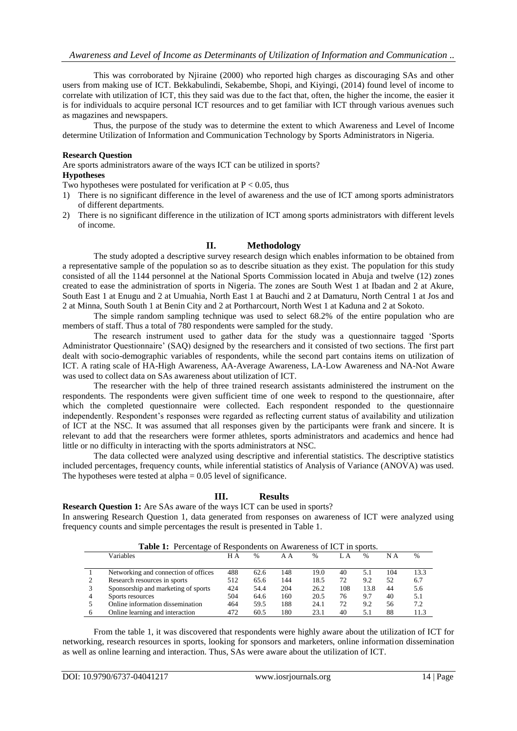This was corroborated by Njiraine (2000) who reported high charges as discouraging SAs and other users from making use of ICT. Bekkabulindi, Sekabembe, Shopi, and Kiyingi, (2014) found level of income to correlate with utilization of ICT, this they said was due to the fact that, often, the higher the income, the easier it is for individuals to acquire personal ICT resources and to get familiar with ICT through various avenues such as magazines and newspapers.

Thus, the purpose of the study was to determine the extent to which Awareness and Level of Income determine Utilization of Information and Communication Technology by Sports Administrators in Nigeria.

#### **Research Question**

Are sports administrators aware of the ways ICT can be utilized in sports? **Hypotheses**

Two hypotheses were postulated for verification at  $P < 0.05$ , thus

- 1) There is no significant difference in the level of awareness and the use of ICT among sports administrators of different departments.
- 2) There is no significant difference in the utilization of ICT among sports administrators with different levels of income.

## **II. Methodology**

The study adopted a descriptive survey research design which enables information to be obtained from a representative sample of the population so as to describe situation as they exist. The population for this study consisted of all the 1144 personnel at the National Sports Commission located in Abuja and twelve (12) zones created to ease the administration of sports in Nigeria. The zones are South West 1 at Ibadan and 2 at Akure, South East 1 at Enugu and 2 at Umuahia, North East 1 at Bauchi and 2 at Damaturu, North Central 1 at Jos and 2 at Minna, South South 1 at Benin City and 2 at Portharcourt, North West 1 at Kaduna and 2 at Sokoto.

The simple random sampling technique was used to select 68.2% of the entire population who are members of staff. Thus a total of 780 respondents were sampled for the study.

The research instrument used to gather data for the study was a questionnaire tagged 'Sports Administrator Questionnaire' (SAQ) designed by the researchers and it consisted of two sections. The first part dealt with socio-demographic variables of respondents, while the second part contains items on utilization of ICT. A rating scale of HA-High Awareness, AA-Average Awareness, LA-Low Awareness and NA-Not Aware was used to collect data on SAs awareness about utilization of ICT.

The researcher with the help of three trained research assistants administered the instrument on the respondents. The respondents were given sufficient time of one week to respond to the questionnaire, after which the completed questionnaire were collected. Each respondent responded to the questionnaire independently. Respondent's responses were regarded as reflecting current status of availability and utilization of ICT at the NSC. It was assumed that all responses given by the participants were frank and sincere. It is relevant to add that the researchers were former athletes, sports administrators and academics and hence had little or no difficulty in interacting with the sports administrators at NSC.

The data collected were analyzed using descriptive and inferential statistics. The descriptive statistics included percentages, frequency counts, while inferential statistics of Analysis of Variance (ANOVA) was used. The hypotheses were tested at alpha  $= 0.05$  level of significance.

## **III. Results**

**Research Question 1:** Are SAs aware of the ways ICT can be used in sports?

In answering Research Question 1, data generated from responses on awareness of ICT were analyzed using frequency counts and simple percentages the result is presented in Table 1.

|   | Table 1: Percentage of Respondents on Awareness of ICT in sports. |     |      |     |      |     |               |     |      |
|---|-------------------------------------------------------------------|-----|------|-----|------|-----|---------------|-----|------|
|   | Variables                                                         | H A | $\%$ | ΑA  | $\%$ | LΑ  | $\frac{0}{0}$ | N A | $\%$ |
|   |                                                                   |     |      |     |      |     |               |     |      |
|   | Networking and connection of offices                              | 488 | 62.6 | 148 | 19.0 | 40  | 5.1           | 104 | 13.3 |
|   | Research resources in sports                                      | 512 | 65.6 | 144 | 18.5 | 72  | 9.2           | 52  | 6.7  |
|   | Sponsorship and marketing of sports                               | 424 | 54.4 | 204 | 26.2 | 108 | 13.8          | 44  | 5.6  |
| 4 | Sports resources                                                  | 504 | 64.6 | 160 | 20.5 | 76  | 9.7           | 40  | 5.1  |
|   | Online information dissemination                                  | 464 | 59.5 | 188 | 24.1 | 72  | 9.2           | 56  | 7.2  |
|   | Online learning and interaction                                   | 472 | 60.5 | 180 | 23.1 | 40  | 5.1           | 88  | 11.3 |

From the table 1, it was discovered that respondents were highly aware about the utilization of ICT for networking, research resources in sports, looking for sponsors and marketers, online information dissemination as well as online learning and interaction. Thus, SAs were aware about the utilization of ICT.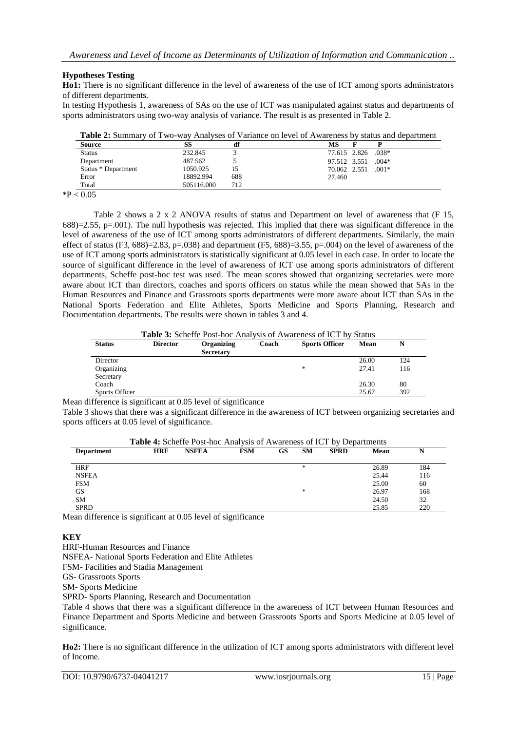## **Hypotheses Testing**

**Ho1:** There is no significant difference in the level of awareness of the use of ICT among sports administrators of different departments.

In testing Hypothesis 1, awareness of SAs on the use of ICT was manipulated against status and departments of sports administrators using two-way analysis of variance. The result is as presented in Table 2.

|  |  |  | <b>Table 2:</b> Summary of Two-way Analyses of Variance on level of Awareness by status and department |
|--|--|--|--------------------------------------------------------------------------------------------------------|
|--|--|--|--------------------------------------------------------------------------------------------------------|

| <b>Source</b>       |            |     | МS                      |
|---------------------|------------|-----|-------------------------|
| <b>Status</b>       | 232.845    |     | 77.615 2.826 .038*      |
| Department          | 487.562    |     | $.004*$<br>97.512 3.551 |
| Status * Department | 1050.925   |     | $.001*$<br>70.062 2.551 |
| Error               | 18892.994  | 688 | 27.460                  |
| Total               | 505116.000 | 712 |                         |

 $*P < 0.05$ 

Table 2 shows a 2 x 2 ANOVA results of status and Department on level of awareness that (F 15,  $688$ )=2.55, p=.001). The null hypothesis was rejected. This implied that there was significant difference in the level of awareness of the use of ICT among sports administrators of different departments. Similarly, the main effect of status (F3, 688)=2.83, p=.038) and department (F5, 688)=3.55, p=.004) on the level of awareness of the use of ICT among sports administrators is statistically significant at 0.05 level in each case. In order to locate the source of significant difference in the level of awareness of ICT use among sports administrators of different departments, Scheffe post-hoc test was used. The mean scores showed that organizing secretaries were more aware about ICT than directors, coaches and sports officers on status while the mean showed that SAs in the Human Resources and Finance and Grassroots sports departments were more aware about ICT than SAs in the National Sports Federation and Elite Athletes, Sports Medicine and Sports Planning, Research and Documentation departments. The results were shown in tables 3 and 4.

**Table 3:** Scheffe Post-hoc Analysis of Awareness of ICT by Status

| <b>Status</b>  | <b>Director</b> | Organizing<br><b>Secretary</b> | Coach | <b>Sports Officer</b> | Mean  |     |
|----------------|-----------------|--------------------------------|-------|-----------------------|-------|-----|
| Director       |                 |                                |       |                       | 26.00 | 124 |
| Organizing     |                 |                                |       | ×.                    | 27.41 | 116 |
| Secretary      |                 |                                |       |                       |       |     |
| Coach          |                 |                                |       |                       | 26.30 | 80  |
| Sports Officer |                 |                                |       |                       | 25.67 | 392 |

Mean difference is significant at 0.05 level of significance

Table 3 shows that there was a significant difference in the awareness of ICT between organizing secretaries and sports officers at 0.05 level of significance.

|                   | <b>Table 4:</b> Scheffe Post-hoc Analysis of Awareness of ICT by Departments |              |            |    |           |             |       |     |
|-------------------|------------------------------------------------------------------------------|--------------|------------|----|-----------|-------------|-------|-----|
| <b>Department</b> | <b>HRF</b>                                                                   | <b>NSFEA</b> | <b>FSM</b> | GS | <b>SM</b> | <b>SPRD</b> | Mean  | N   |
| <b>HRF</b>        |                                                                              |              |            |    | $\ast$    |             | 26.89 | 184 |
| <b>NSFEA</b>      |                                                                              |              |            |    |           |             | 25.44 | 116 |
| <b>FSM</b>        |                                                                              |              |            |    |           |             | 25.00 | 60  |
| <b>GS</b>         |                                                                              |              |            |    | $\ast$    |             | 26.97 | 168 |
| <b>SM</b>         |                                                                              |              |            |    |           |             | 24.50 | 32  |
| <b>SPRD</b>       |                                                                              |              |            |    |           |             | 25.85 | 220 |

Mean difference is significant at 0.05 level of significance

## **KEY**

HRF-Human Resources and Finance

NSFEA- National Sports Federation and Elite Athletes

FSM- Facilities and Stadia Management

GS- Grassroots Sports

SM- Sports Medicine

SPRD- Sports Planning, Research and Documentation

Table 4 shows that there was a significant difference in the awareness of ICT between Human Resources and Finance Department and Sports Medicine and between Grassroots Sports and Sports Medicine at 0.05 level of significance.

**Ho2:** There is no significant difference in the utilization of ICT among sports administrators with different level of Income.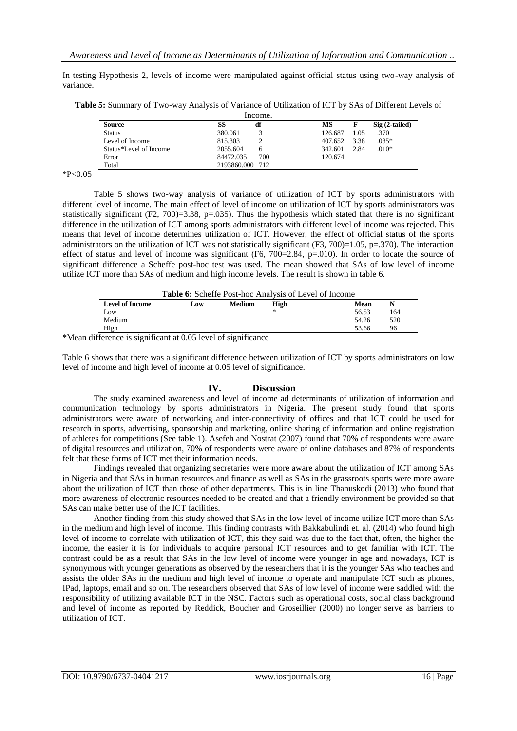In testing Hypothesis 2, levels of income were manipulated against official status using two-way analysis of variance.

|                        | Income.         |     |         |      |                 |
|------------------------|-----------------|-----|---------|------|-----------------|
| Source                 | SS<br>df        |     | MS      |      | $Sig(2-tailed)$ |
| Status                 | 380.061         |     | 126.687 | 1.05 | .370            |
| Level of Income        | 815.303         |     | 407.652 | 3.38 | $.035*$         |
| Status*Level of Income | 2055.604        | h   | 342.601 | 2.84 | $.010*$         |
| Error                  | 84472.035       | 700 | 120.674 |      |                 |
| Total                  | 2193860.000 712 |     |         |      |                 |

**Table 5:** Summary of Two-way Analysis of Variance of Utilization of ICT by SAs of Different Levels of

 $*P<0.05$ 

Table 5 shows two-way analysis of variance of utilization of ICT by sports administrators with different level of income. The main effect of level of income on utilization of ICT by sports administrators was statistically significant (F2, 700)=3.38, p=.035). Thus the hypothesis which stated that there is no significant difference in the utilization of ICT among sports administrators with different level of income was rejected. This means that level of income determines utilization of ICT. However, the effect of official status of the sports administrators on the utilization of ICT was not statistically significant  $(F3, 700)=1.05$ ,  $p=.370$ ). The interaction effect of status and level of income was significant  $(F6, 700=2.84, p=010)$ . In order to locate the source of significant difference a Scheffe post-hoc test was used. The mean showed that SAs of low level of income utilize ICT more than SAs of medium and high income levels. The result is shown in table 6.

|  | <b>Table 6:</b> Scheffe Post-hoc Analysis of Level of Income |
|--|--------------------------------------------------------------|
|--|--------------------------------------------------------------|

| <b>Level of Income</b> | Low | Medium | High | Mean  |     |
|------------------------|-----|--------|------|-------|-----|
| Low                    |     |        | ж    | 56.53 | 164 |
| Medium                 |     |        |      | 54.26 | 520 |
| High                   |     |        |      | 53.66 | 96  |

\*Mean difference is significant at 0.05 level of significance

Table 6 shows that there was a significant difference between utilization of ICT by sports administrators on low level of income and high level of income at 0.05 level of significance.

## **IV. Discussion**

The study examined awareness and level of income ad determinants of utilization of information and communication technology by sports administrators in Nigeria. The present study found that sports administrators were aware of networking and inter-connectivity of offices and that ICT could be used for research in sports, advertising, sponsorship and marketing, online sharing of information and online registration of athletes for competitions (See table 1). Asefeh and Nostrat (2007) found that 70% of respondents were aware of digital resources and utilization, 70% of respondents were aware of online databases and 87% of respondents felt that these forms of ICT met their information needs.

Findings revealed that organizing secretaries were more aware about the utilization of ICT among SAs in Nigeria and that SAs in human resources and finance as well as SAs in the grassroots sports were more aware about the utilization of ICT than those of other departments. This is in line Thanuskodi (2013) who found that more awareness of electronic resources needed to be created and that a friendly environment be provided so that SAs can make better use of the ICT facilities.

Another finding from this study showed that SAs in the low level of income utilize ICT more than SAs in the medium and high level of income. This finding contrasts with Bakkabulindi et. al. (2014) who found high level of income to correlate with utilization of ICT, this they said was due to the fact that, often, the higher the income, the easier it is for individuals to acquire personal ICT resources and to get familiar with ICT. The contrast could be as a result that SAs in the low level of income were younger in age and nowadays, ICT is synonymous with younger generations as observed by the researchers that it is the younger SAs who teaches and assists the older SAs in the medium and high level of income to operate and manipulate ICT such as phones, IPad, laptops, email and so on. The researchers observed that SAs of low level of income were saddled with the responsibility of utilizing available ICT in the NSC. Factors such as operational costs, social class background and level of income as reported by Reddick, Boucher and Groseillier (2000) no longer serve as barriers to utilization of ICT.